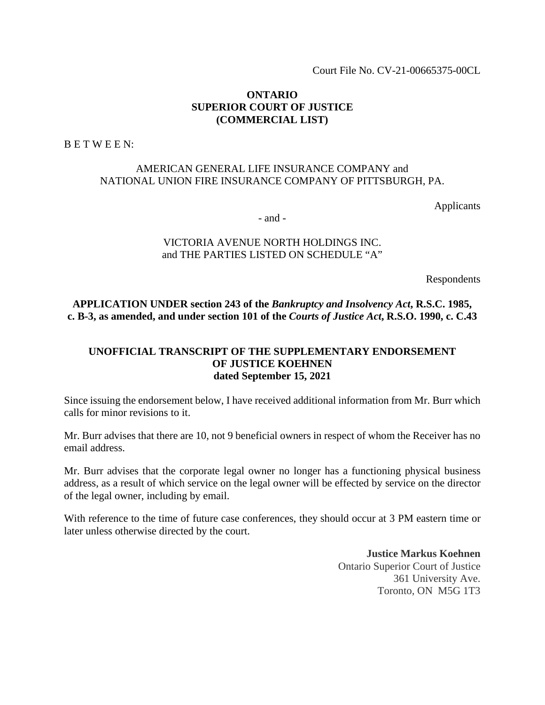Court File No. CV-21-00665375-00CL

### **ONTARIO SUPERIOR COURT OF JUSTICE (COMMERCIAL LIST)**

B E T W E E N:

# AMERICAN GENERAL LIFE INSURANCE COMPANY and NATIONAL UNION FIRE INSURANCE COMPANY OF PITTSBURGH, PA.

Applicants

- and -

## VICTORIA AVENUE NORTH HOLDINGS INC. and THE PARTIES LISTED ON SCHEDULE "A"

Respondents

**APPLICATION UNDER section 243 of the** *Bankruptcy and Insolvency Act***, R.S.C. 1985, c. B-3, as amended, and under section 101 of the** *Courts of Justice Act***, R.S.O. 1990, c. C.43** 

### **UNOFFICIAL TRANSCRIPT OF THE SUPPLEMENTARY ENDORSEMENT OF JUSTICE KOEHNEN dated September 15, 2021**

Since issuing the endorsement below, I have received additional information from Mr. Burr which calls for minor revisions to it.

Mr. Burr advises that there are 10, not 9 beneficial owners in respect of whom the Receiver has no email address.

Mr. Burr advises that the corporate legal owner no longer has a functioning physical business address, as a result of which service on the legal owner will be effected by service on the director of the legal owner, including by email.

With reference to the time of future case conferences, they should occur at 3 PM eastern time or later unless otherwise directed by the court.

> **Justice Markus Koehnen** Ontario Superior Court of Justice 361 University Ave. Toronto, ON M5G 1T3